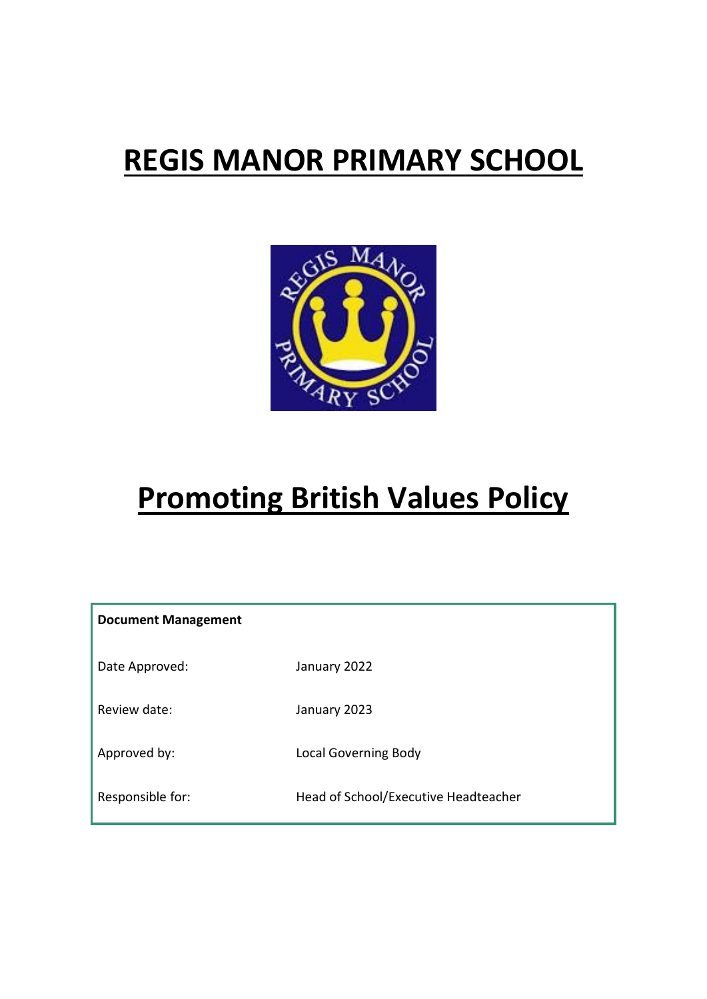# **REGIS MANOR PRIMARY SCHOOL**



# **Promoting British Values Policy**

| <b>Document Management</b> |                                      |
|----------------------------|--------------------------------------|
| Date Approved:             | January 2022                         |
| Review date:               | January 2023                         |
| Approved by:               | <b>Local Governing Body</b>          |
| Responsible for:           | Head of School/Executive Headteacher |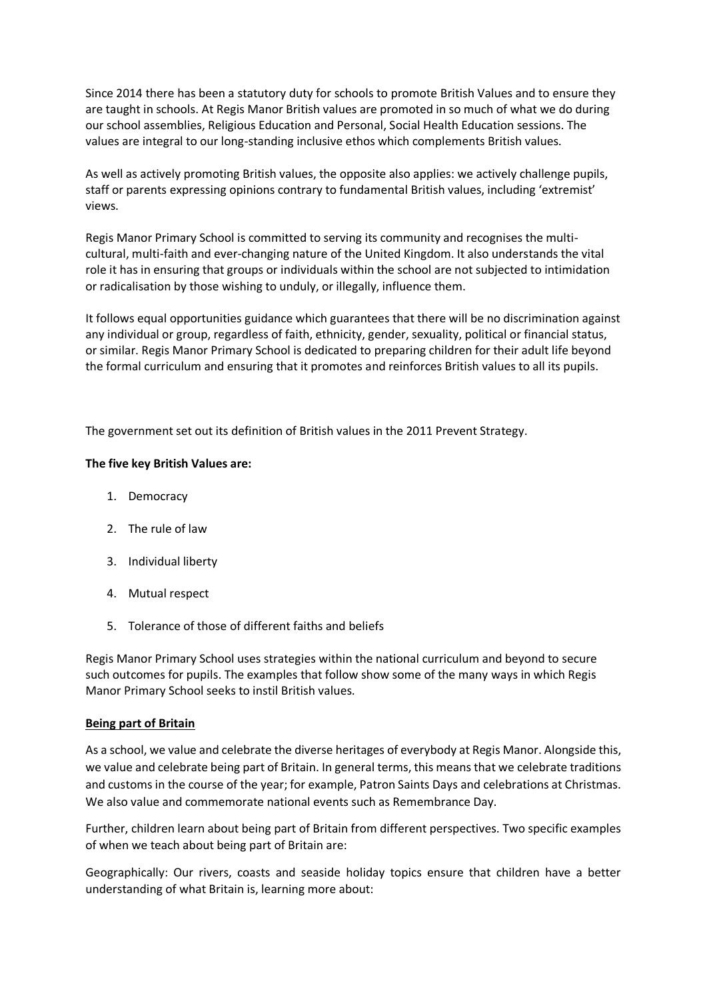Since 2014 there has been a statutory duty for schools to promote British Values and to ensure they are taught in schools. At Regis Manor British values are promoted in so much of what we do during our school assemblies, Religious Education and Personal, Social Health Education sessions. The values are integral to our long-standing inclusive ethos which complements British values.

As well as actively promoting British values, the opposite also applies: we actively challenge pupils, staff or parents expressing opinions contrary to fundamental British values, including 'extremist' views.

Regis Manor Primary School is committed to serving its community and recognises the multicultural, multi-faith and ever-changing nature of the United Kingdom. It also understands the vital role it has in ensuring that groups or individuals within the school are not subjected to intimidation or radicalisation by those wishing to unduly, or illegally, influence them.

It follows equal opportunities guidance which guarantees that there will be no discrimination against any individual or group, regardless of faith, ethnicity, gender, sexuality, political or financial status, or similar. Regis Manor Primary School is dedicated to preparing children for their adult life beyond the formal curriculum and ensuring that it promotes and reinforces British values to all its pupils.

The government set out its definition of British values in the 2011 Prevent Strategy.

#### **The five key British Values are:**

- 1. Democracy
- 2. The rule of law
- 3. Individual liberty
- 4. Mutual respect
- 5. Tolerance of those of different faiths and beliefs

Regis Manor Primary School uses strategies within the national curriculum and beyond to secure such outcomes for pupils. The examples that follow show some of the many ways in which Regis Manor Primary School seeks to instil British values.

#### **Being part of Britain**

As a school, we value and celebrate the diverse heritages of everybody at Regis Manor. Alongside this, we value and celebrate being part of Britain. In general terms, this means that we celebrate traditions and customs in the course of the year; for example, Patron Saints Days and celebrations at Christmas. We also value and commemorate national events such as Remembrance Day.

Further, children learn about being part of Britain from different perspectives. Two specific examples of when we teach about being part of Britain are:

Geographically: Our rivers, coasts and seaside holiday topics ensure that children have a better understanding of what Britain is, learning more about: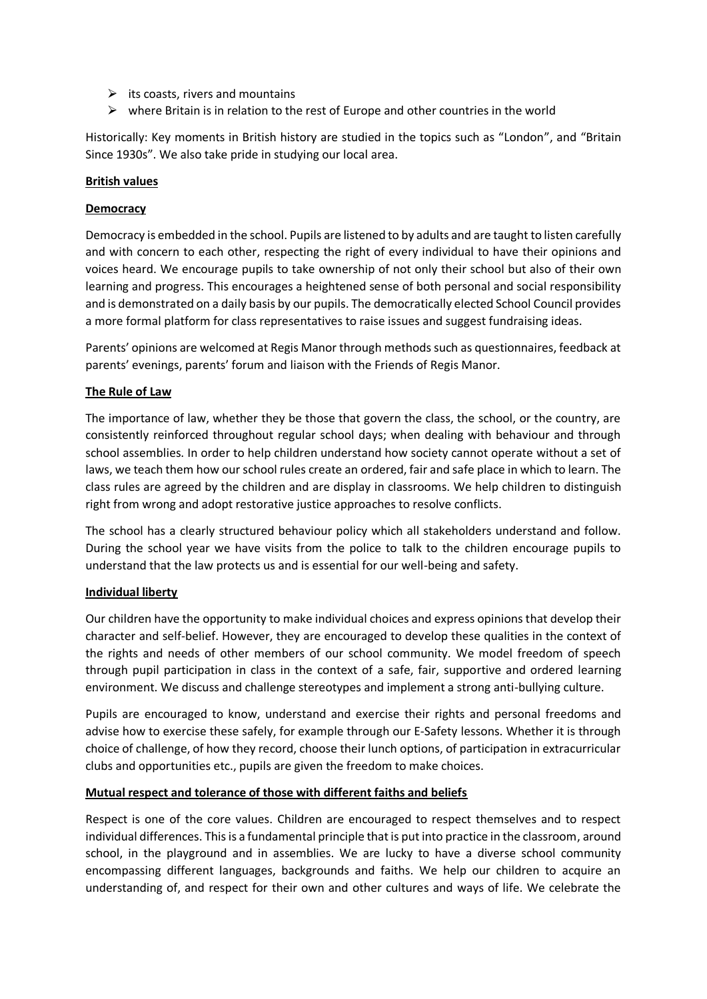- $\triangleright$  its coasts, rivers and mountains
- $\triangleright$  where Britain is in relation to the rest of Europe and other countries in the world

Historically: Key moments in British history are studied in the topics such as "London", and "Britain Since 1930s". We also take pride in studying our local area.

#### **British values**

#### **Democracy**

Democracy is embedded in the school. Pupils are listened to by adults and are taught to listen carefully and with concern to each other, respecting the right of every individual to have their opinions and voices heard. We encourage pupils to take ownership of not only their school but also of their own learning and progress. This encourages a heightened sense of both personal and social responsibility and is demonstrated on a daily basis by our pupils. The democratically elected School Council provides a more formal platform for class representatives to raise issues and suggest fundraising ideas.

Parents' opinions are welcomed at Regis Manor through methods such as questionnaires, feedback at parents' evenings, parents' forum and liaison with the Friends of Regis Manor.

#### **The Rule of Law**

The importance of law, whether they be those that govern the class, the school, or the country, are consistently reinforced throughout regular school days; when dealing with behaviour and through school assemblies. In order to help children understand how society cannot operate without a set of laws, we teach them how our school rules create an ordered, fair and safe place in which to learn. The class rules are agreed by the children and are display in classrooms. We help children to distinguish right from wrong and adopt restorative justice approaches to resolve conflicts.

The school has a clearly structured behaviour policy which all stakeholders understand and follow. During the school year we have visits from the police to talk to the children encourage pupils to understand that the law protects us and is essential for our well-being and safety.

#### **Individual liberty**

Our children have the opportunity to make individual choices and express opinions that develop their character and self-belief. However, they are encouraged to develop these qualities in the context of the rights and needs of other members of our school community. We model freedom of speech through pupil participation in class in the context of a safe, fair, supportive and ordered learning environment. We discuss and challenge stereotypes and implement a strong anti-bullying culture.

Pupils are encouraged to know, understand and exercise their rights and personal freedoms and advise how to exercise these safely, for example through our E-Safety lessons. Whether it is through choice of challenge, of how they record, choose their lunch options, of participation in extracurricular clubs and opportunities etc., pupils are given the freedom to make choices.

#### **Mutual respect and tolerance of those with different faiths and beliefs**

Respect is one of the core values. Children are encouraged to respect themselves and to respect individual differences. This is a fundamental principle that is put into practice in the classroom, around school, in the playground and in assemblies. We are lucky to have a diverse school community encompassing different languages, backgrounds and faiths. We help our children to acquire an understanding of, and respect for their own and other cultures and ways of life. We celebrate the